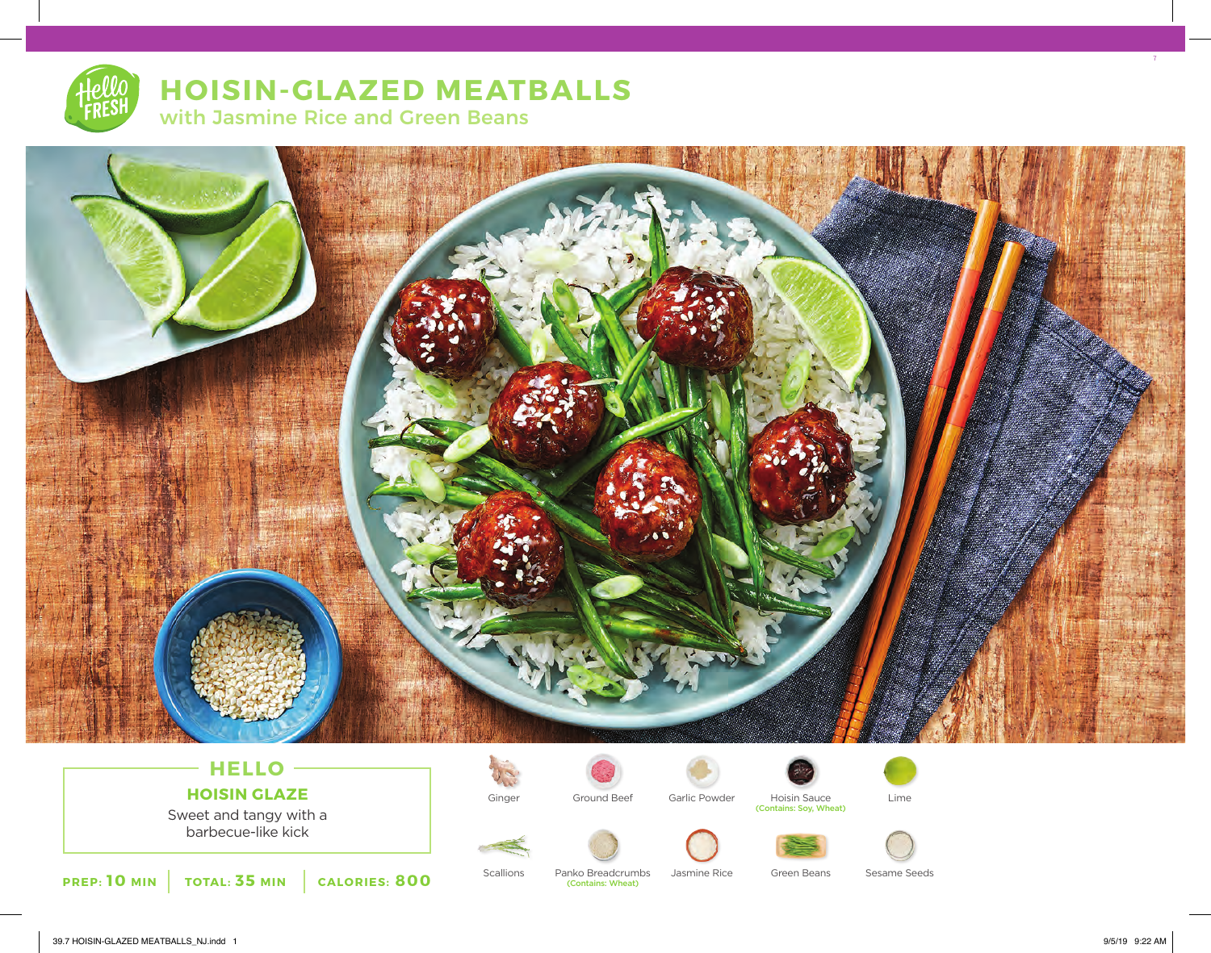# **HOISIN-GLAZED MEATBALLS** with Jasmine Rice and Green Beans



### **HELLO HOISIN GLAZE**

Sweet and tangy with a barbecue-like kick





Ginger Ground Beef Garlic Powder Hoisin Sauce Lime<br>Contains: Soy, Wheat)







**PREP: 10 MIN TOTAL: 35 MIN CALORIES: 800**

(Contains: Wheat)

Scallions Panko Breadcrumbs Jasmine Rice Green Beans Sesame Seeds

7